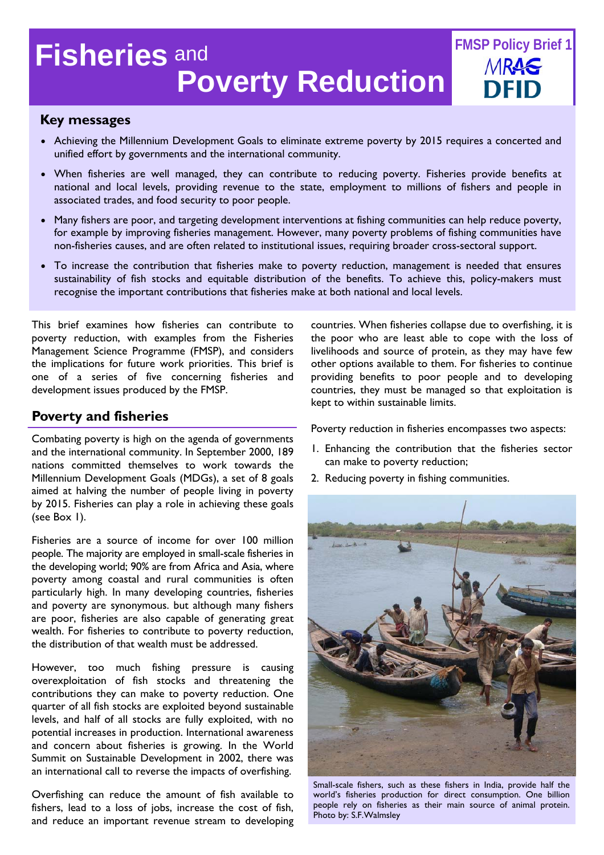# **Poverty Reduction Fisheries** and **FMSP Policy Brief 1**

# **Key messages**

- Achieving the Millennium Development Goals to eliminate extreme poverty by 2015 requires a concerted and unified effort by governments and the international community.
- When fisheries are well managed, they can contribute to reducing poverty. Fisheries provide benefits at national and local levels, providing revenue to the state, employment to millions of fishers and people in associated trades, and food security to poor people.
- Many fishers are poor, and targeting development interventions at fishing communities can help reduce poverty, for example by improving fisheries management. However, many poverty problems of fishing communities have non-fisheries causes, and are often related to institutional issues, requiring broader cross-sectoral support.
- To increase the contribution that fisheries make to poverty reduction, management is needed that ensures sustainability of fish stocks and equitable distribution of the benefits. To achieve this, policy-makers must recognise the important contributions that fisheries make at both national and local levels.

This brief examines how fisheries can contribute to poverty reduction, with examples from the Fisheries Management Science Programme (FMSP), and considers the implications for future work priorities. This brief is one of a series of five concerning fisheries and development issues produced by the FMSP.

# **Poverty and fisheries**

Combating poverty is high on the agenda of governments and the international community. In September 2000, 189 nations committed themselves to work towards the Millennium Development Goals (MDGs), a set of 8 goals aimed at halving the number of people living in poverty by 2015. Fisheries can play a role in achieving these goals (see Box 1).

Fisheries are a source of income for over 100 million people. The majority are employed in small-scale fisheries in the developing world; 90% are from Africa and Asia, where poverty among coastal and rural communities is often particularly high. In many developing countries, fisheries and poverty are synonymous. but although many fishers are poor, fisheries are also capable of generating great wealth. For fisheries to contribute to poverty reduction, the distribution of that wealth must be addressed.

However, too much fishing pressure is causing overexploitation of fish stocks and threatening the contributions they can make to poverty reduction. One quarter of all fish stocks are exploited beyond sustainable levels, and half of all stocks are fully exploited, with no potential increases in production. International awareness and concern about fisheries is growing. In the World Summit on Sustainable Development in 2002, there was an international call to reverse the impacts of overfishing.

Overfishing can reduce the amount of fish available to fishers, lead to a loss of jobs, increase the cost of fish, and reduce an important revenue stream to developing countries. When fisheries collapse due to overfishing, it is the poor who are least able to cope with the loss of livelihoods and source of protein, as they may have few other options available to them. For fisheries to continue providing benefits to poor people and to developing countries, they must be managed so that exploitation is kept to within sustainable limits.

Poverty reduction in fisheries encompasses two aspects:

- 1. Enhancing the contribution that the fisheries sector can make to poverty reduction;
- 2. Reducing poverty in fishing communities.



Small-scale fishers, such as these fishers in India, provide half the world's fisheries production for direct consumption. One billion people rely on fisheries as their main source of animal protein. Photo by: S.F.Walmsley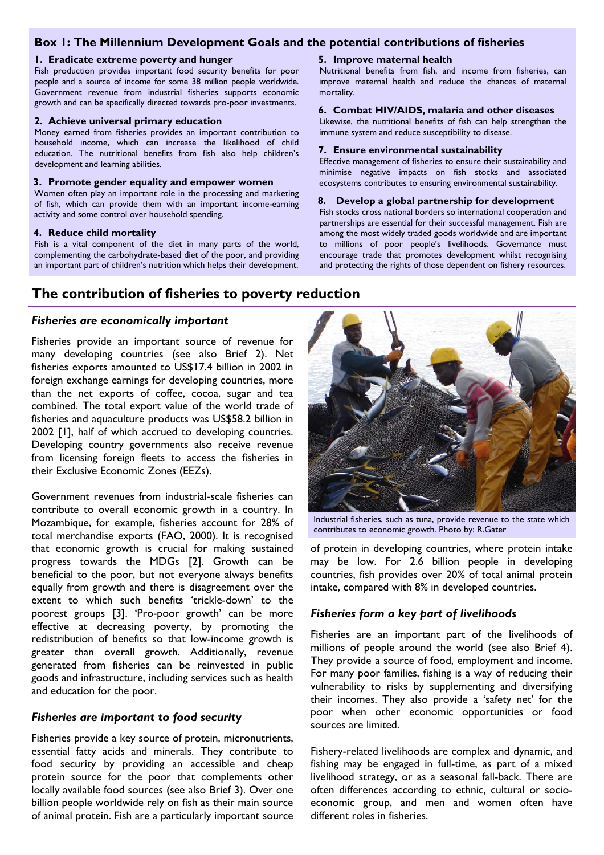# **Box 1: The Millennium Development Goals and the potential contributions of fisheries**

#### **1. Eradicate extreme poverty and hunger**

Fish production provides important food security benefits for poor people and a source of income for some 38 million people worldwide. Government revenue from industrial fisheries supports economic growth and can be specifically directed towards pro-poor investments.

#### **2. Achieve universal primary education**

Money earned from fisheries provides an important contribution to household income, which can increase the likelihood of child education. The nutritional benefits from fish also help children's development and learning abilities.

#### **3. Promote gender equality and empower women**

Women often play an important role in the processing and marketing of fish, which can provide them with an important income-earning activity and some control over household spending.

#### **4. Reduce child mortality**

Fish is a vital component of the diet in many parts of the world, complementing the carbohydrate-based diet of the poor, and providing an important part of children's nutrition which helps their development.

# **The contribution of fisheries to poverty reduction**

#### *Fisheries are economically important*

Fisheries provide an important source of revenue for many developing countries (see also Brief 2). Net fisheries exports amounted to US\$17.4 billion in 2002 in foreign exchange earnings for developing countries, more than the net exports of coffee, cocoa, sugar and tea combined. The total export value of the world trade of fisheries and aquaculture products was US\$58.2 billion in 2002 [1], half of which accrued to developing countries. Developing country governments also receive revenue from licensing foreign fleets to access the fisheries in their Exclusive Economic Zones (EEZs).

Government revenues from industrial-scale fisheries can contribute to overall economic growth in a country. In Mozambique, for example, fisheries account for 28% of total merchandise exports (FAO, 2000). It is recognised that economic growth is crucial for making sustained progress towards the MDGs [2]. Growth can be beneficial to the poor, but not everyone always benefits equally from growth and there is disagreement over the extent to which such benefits 'trickle-down' to the poorest groups [3]. 'Pro-poor growth' can be more effective at decreasing poverty, by promoting the redistribution of benefits so that low-income growth is greater than overall growth. Additionally, revenue generated from fisheries can be reinvested in public goods and infrastructure, including services such as health and education for the poor.

#### *Fisheries are important to food security*

Fisheries provide a key source of protein, micronutrients, essential fatty acids and minerals. They contribute to food security by providing an accessible and cheap protein source for the poor that complements other locally available food sources (see also Brief 3). Over one billion people worldwide rely on fish as their main source of animal protein. Fish are a particularly important source

#### **5. Improve maternal health**

Nutritional benefits from fish, and income from fisheries, can improve maternal health and reduce the chances of maternal mortality.

#### **6. Combat HIV/AIDS, malaria and other diseases**

Likewise, the nutritional benefits of fish can help strengthen the immune system and reduce susceptibility to disease.

#### **7. Ensure environmental sustainability**

Effective management of fisheries to ensure their sustainability and minimise negative impacts on fish stocks and associated ecosystems contributes to ensuring environmental sustainability.

#### **8. Develop a global partnership for development**

Fish stocks cross national borders so international cooperation and partnerships are essential for their successful management. Fish are among the most widely traded goods worldwide and are important to millions of poor people's livelihoods. Governance must encourage trade that promotes development whilst recognising and protecting the rights of those dependent on fishery resources.



Industrial fisheries, such as tuna, provide revenue to the state which contributes to economic growth. Photo by: R.Gater

of protein in developing countries, where protein intake may be low. For 2.6 billion people in developing countries, fish provides over 20% of total animal protein intake, compared with 8% in developed countries.

#### *Fisheries form a key part of livelihoods*

Fisheries are an important part of the livelihoods of millions of people around the world (see also Brief 4). They provide a source of food, employment and income. For many poor families, fishing is a way of reducing their vulnerability to risks by supplementing and diversifying their incomes. They also provide a 'safety net' for the poor when other economic opportunities or food sources are limited.

Fishery-related livelihoods are complex and dynamic, and fishing may be engaged in full-time, as part of a mixed livelihood strategy, or as a seasonal fall-back. There are often differences according to ethnic, cultural or socioeconomic group, and men and women often have different roles in fisheries.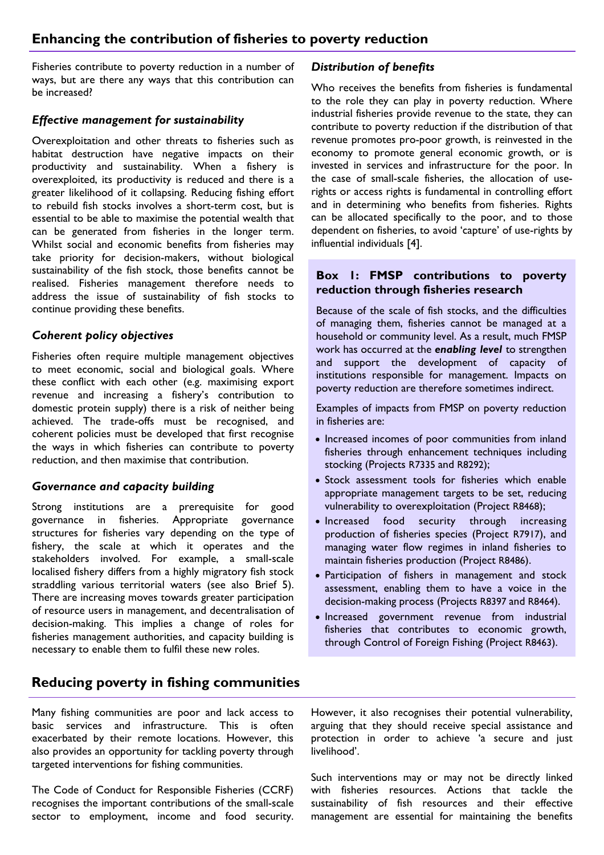Fisheries contribute to poverty reduction in a number of ways, but are there any ways that this contribution can be increased?

# *Effective management for sustainability*

Overexploitation and other threats to fisheries such as habitat destruction have negative impacts on their productivity and sustainability. When a fishery is overexploited, its productivity is reduced and there is a greater likelihood of it collapsing. Reducing fishing effort to rebuild fish stocks involves a short-term cost, but is essential to be able to maximise the potential wealth that can be generated from fisheries in the longer term. Whilst social and economic benefits from fisheries may take priority for decision-makers, without biological sustainability of the fish stock, those benefits cannot be realised. Fisheries management therefore needs to address the issue of sustainability of fish stocks to continue providing these benefits.

# *Coherent policy objectives*

Fisheries often require multiple management objectives to meet economic, social and biological goals. Where these conflict with each other (e.g. maximising export revenue and increasing a fishery's contribution to domestic protein supply) there is a risk of neither being achieved. The trade-offs must be recognised, and coherent policies must be developed that first recognise the ways in which fisheries can contribute to poverty reduction, and then maximise that contribution.

# *Governance and capacity building*

Strong institutions are a prerequisite for good governance in fisheries. Appropriate governance structures for fisheries vary depending on the type of fishery, the scale at which it operates and the stakeholders involved. For example, a small-scale localised fishery differs from a highly migratory fish stock straddling various territorial waters (see also Brief 5). There are increasing moves towards greater participation of resource users in management, and decentralisation of decision-making. This implies a change of roles for fisheries management authorities, and capacity building is necessary to enable them to fulfil these new roles.

# **Reducing poverty in fishing communities**

Many fishing communities are poor and lack access to basic services and infrastructure. This is often exacerbated by their remote locations. However, this also provides an opportunity for tackling poverty through targeted interventions for fishing communities.

The Code of Conduct for Responsible Fisheries (CCRF) recognises the important contributions of the small-scale sector to employment, income and food security.

## *Distribution of benefits*

Who receives the benefits from fisheries is fundamental to the role they can play in poverty reduction. Where industrial fisheries provide revenue to the state, they can contribute to poverty reduction if the distribution of that revenue promotes pro-poor growth, is reinvested in the economy to promote general economic growth, or is invested in services and infrastructure for the poor. In the case of small-scale fisheries, the allocation of userights or access rights is fundamental in controlling effort and in determining who benefits from fisheries. Rights can be allocated specifically to the poor, and to those dependent on fisheries, to avoid 'capture' of use-rights by influential individuals [4].

# **Box 1: FMSP contributions to poverty reduction through fisheries research**

Because of the scale of fish stocks, and the difficulties of managing them, fisheries cannot be managed at a household or community level. As a result, much FMSP work has occurred at the *enabling level* to strengthen and support the development of capacity of institutions responsible for management. Impacts on poverty reduction are therefore sometimes indirect.

Examples of impacts from FMSP on poverty reduction in fisheries are:

- Increased incomes of poor communities from inland fisheries through enhancement techniques including stocking (Projects R7335 and R8292);
- Stock assessment tools for fisheries which enable appropriate management targets to be set, reducing vulnerability to overexploitation (Project R8468);
- Increased food security through increasing production of fisheries species (Project R7917), and managing water flow regimes in inland fisheries to maintain fisheries production (Project R8486).
- Participation of fishers in management and stock assessment, enabling them to have a voice in the decision-making process (Projects R8397 and R8464).
- Increased government revenue from industrial fisheries that contributes to economic growth, through Control of Foreign Fishing (Project R8463).

However, it also recognises their potential vulnerability, arguing that they should receive special assistance and protection in order to achieve 'a secure and just livelihood'.

Such interventions may or may not be directly linked with fisheries resources. Actions that tackle the sustainability of fish resources and their effective management are essential for maintaining the benefits